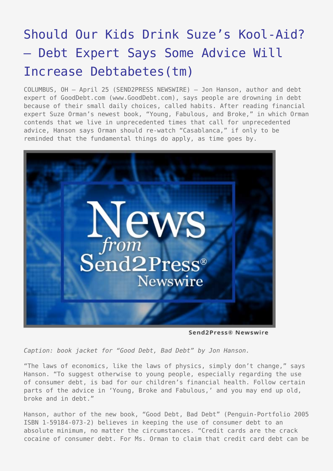## [Should Our Kids Drink Suze's Kool-Aid?](https://www.send2press.com/wire/2005-04-0425-001/) [– Debt Expert Says Some Advice Will](https://www.send2press.com/wire/2005-04-0425-001/) [Increase Debtabetes\(tm\)](https://www.send2press.com/wire/2005-04-0425-001/)

COLUMBUS, OH – April 25 (SEND2PRESS NEWSWIRE) — Jon Hanson, author and debt expert of GoodDebt.com (www.GoodDebt.com), says people are drowning in debt because of their small daily choices, called habits. After reading financial expert Suze Orman's newest book, "Young, Fabulous, and Broke," in which Orman contends that we live in unprecedented times that call for unprecedented advice, Hanson says Orman should re-watch "Casablanca," if only to be reminded that the fundamental things do apply, as time goes by.



Send2Press® Newswire

*Caption: book jacket for "Good Debt, Bad Debt" by Jon Hanson.*

"The laws of economics, like the laws of physics, simply don't change," says Hanson. "To suggest otherwise to young people, especially regarding the use of consumer debt, is bad for our children's financial health. Follow certain parts of the advice in 'Young, Broke and Fabulous,' and you may end up old, broke and in debt."

Hanson, author of the new book, "Good Debt, Bad Debt" (Penguin-Portfolio 2005 ISBN 1-59184-073-2) believes in keeping the use of consumer debt to an absolute minimum, no matter the circumstances. "Credit cards are the crack cocaine of consumer debt. For Ms. Orman to claim that credit card debt can be